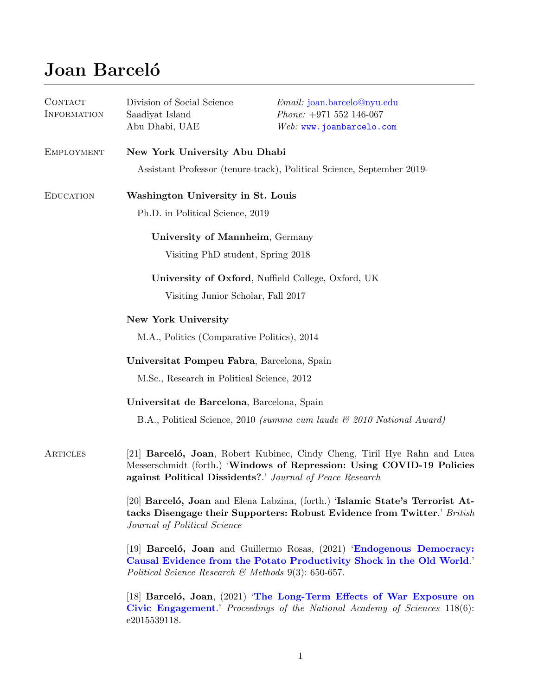# Joan Barceló

| CONTACT<br><b>INFORMATION</b> | Division of Social Science<br>Saadiyat Island<br>Abu Dhabi, UAE                                                                                                                                                 | <i>Email:</i> joan.barcelo@nyu.edu<br>$Phone: +971 552 146-067$<br>$Web:$ www.joanbarcelo.com |
|-------------------------------|-----------------------------------------------------------------------------------------------------------------------------------------------------------------------------------------------------------------|-----------------------------------------------------------------------------------------------|
| <b>EMPLOYMENT</b>             | New York University Abu Dhabi                                                                                                                                                                                   |                                                                                               |
|                               | Assistant Professor (tenure-track), Political Science, September 2019-                                                                                                                                          |                                                                                               |
| <b>EDUCATION</b>              | Washington University in St. Louis                                                                                                                                                                              |                                                                                               |
|                               | Ph.D. in Political Science, 2019                                                                                                                                                                                |                                                                                               |
|                               | University of Mannheim, Germany                                                                                                                                                                                 |                                                                                               |
|                               | Visiting PhD student, Spring 2018                                                                                                                                                                               |                                                                                               |
|                               | University of Oxford, Nuffield College, Oxford, UK                                                                                                                                                              |                                                                                               |
|                               | Visiting Junior Scholar, Fall 2017                                                                                                                                                                              |                                                                                               |
|                               | <b>New York University</b>                                                                                                                                                                                      |                                                                                               |
|                               | M.A., Politics (Comparative Politics), 2014                                                                                                                                                                     |                                                                                               |
|                               | Universitat Pompeu Fabra, Barcelona, Spain                                                                                                                                                                      |                                                                                               |
|                               | M.Sc., Research in Political Science, 2012                                                                                                                                                                      |                                                                                               |
|                               | Universitat de Barcelona, Barcelona, Spain                                                                                                                                                                      |                                                                                               |
|                               |                                                                                                                                                                                                                 | B.A., Political Science, 2010 (summa cum laude & 2010 National Award)                         |
| ARTICLES                      | [21] Barceló, Joan, Robert Kubinec, Cindy Cheng, Tiril Hye Rahn and Luca<br>Messerschmidt (forth.) 'Windows of Repression: Using COVID-19 Policies<br>against Political Dissidents?.' Journal of Peace Research |                                                                                               |
|                               | [20] Barceló, Joan and Elena Labzina, (forth.) 'Islamic State's Terrorist At-<br>tacks Disengage their Supporters: Robust Evidence from Twitter.' British<br>Journal of Political Science                       |                                                                                               |
|                               | [19] Barceló, Joan and Guillermo Rosas, (2021) 'Endogenous Democracy:<br>Causal Evidence from the Potato Productivity Shock in the Old World.<br>Political Science Research & Methods $9(3)$ : 650-657.         |                                                                                               |
|                               | $[18]$ Barceló, Joan, $(2021)$ The Long-Term Effects of War Exposure on<br>Civic Engagement.' Proceedings of the National Academy of Sciences 118(6):<br>e2015539118.                                           |                                                                                               |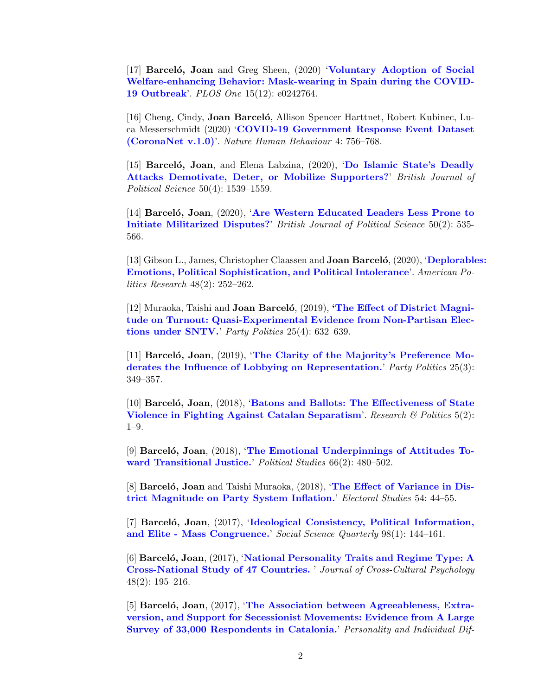[17] Barceló, Joan and Greg Sheen, (2020) '[Voluntary](https://doi.org/10.1371/journal.pone.0242764) Adoption of Social [Welfare-enhancing](https://doi.org/10.1371/journal.pone.0242764) Behavior: Mask-wearing in Spain during the COVID-19 [Outbreak](https://doi.org/10.1371/journal.pone.0242764)'. PLOS One 15(12): e0242764.

[16] Cheng, Cindy, **Joan Barcelo**, Allison Spencer Harttnet, Robert Kubinec, Luca Messerschmidt (2020) 'COVID-19 [Government]( https://www.nature.com/articles/s41562-020-0909-7) Response Event Dataset [\(CoronaNet]( https://www.nature.com/articles/s41562-020-0909-7) v.1.0)'. Nature Human Behaviour 4: 756–768.

[15] Barceló, Joan, and Elena Labzina, (2020), 'Do [Islamic]( https://doi.org/10.1017/S0007123418000340) State's Deadly Attacks [Demotivate,]( https://doi.org/10.1017/S0007123418000340) Deter, or Mobilize Supporters?' British Journal of Political Science 50(4): 1539–1559.

[14] Barceló, Joan, (2020), 'Are Western [Educated]( https://doi.org/10.1017/S0007123417000527) Leaders Less Prone to Initiate [Militarized]( https://doi.org/10.1017/S0007123417000527) Disputes?' British Journal of Political Science 50(2): 535- 566.

[13] Gibson L., James, Christopher Claassen and **Joan Barcelo**, (2020), '[Deplorable](https://journals.sagepub.com/doi/abs/10.1177/1532673X18820864)s: Emotions, Political [Sophistication,](https://journals.sagepub.com/doi/abs/10.1177/1532673X18820864) and Political Intolerance'. American Politics Research 48(2): 252–262.

[12] Muraoka, Taishi and **Joan Barceló**,  $(2019)$ , **The Effect of [District]( http://journals.sagepub.com/doi/abs/10.1177/1354068817740337) Magni**tude on Turnout: [Quasi-Experimental]( http://journals.sagepub.com/doi/abs/10.1177/1354068817740337) Evidence from Non-Partisan Elections under [SNTV.]( http://journals.sagepub.com/doi/abs/10.1177/1354068817740337)' Party Politics 25(4): 632–639.

[11] Barceló, Joan,  $(2019)$ , 'The Clarity of the Majority's [Preference](http://journals.sagepub.com/doi/abs/10.1177/1354068817715803) Moderates the Influence of Lobbying on [Representation.](http://journals.sagepub.com/doi/abs/10.1177/1354068817715803)' Party Politics 25(3): 349–357.

 $[10]$  Barceló, Joan,  $(2018)$ , 'Batons and Ballots: The [Effectiveness]( http://journals.sagepub.com/doi/pdf/10.1177/2053168018781747) of State Violence in Fighting Against Catalan [Separatism]( http://journals.sagepub.com/doi/pdf/10.1177/2053168018781747)'. Research  $\mathcal B$  Politics 5(2): 1–9.

[9] Barceló, Joan,  $(2018)$ , 'The Emotional [Underpinnings](https://doi.org/10.1177/0032321717723508) of Attitudes Toward [Transitional](https://doi.org/10.1177/0032321717723508) Justice.' Political Studies 66(2): 480–502.

[8] Barcelo, Joan and Taishi Muraoka,  $(2018)$ , 'The Effect of [Variance](https://www.sciencedirect.com/science/article/pii/S0261379417300975) in District [Magnitude](https://www.sciencedirect.com/science/article/pii/S0261379417300975) on Party System Inflation.' Electoral Studies 54: 44–55.

[7] Barceló, Joan, (2017), 'Ideological Consistency, Political [Information,](https://doi.org/10.1111/ssqu.12282) and Elite - Mass [Congruence.](https://doi.org/10.1111/ssqu.12282)' Social Science Quarterly 98(1): 144–161.

 $[6]$  Barceló, Joan,  $(2017)$ , 'National [Personality](http://jcc.sagepub.com/content/early/2016/10/18/0022022116678324.abstract) Traits and Regime Type: A [Cross-National](http://jcc.sagepub.com/content/early/2016/10/18/0022022116678324.abstract) Study of 47 Countries. ' Journal of Cross-Cultural Psychology 48(2): 195–216.

[5] Barceló, Joan,  $(2017)$ , 'The Association between [Agreeableness,](http://www.sciencedirect.com/science/article/pii/S0191886916311291) Extraversion, and Support for Secessionist [Movements:](http://www.sciencedirect.com/science/article/pii/S0191886916311291) Evidence from A Large Survey of 33,000 [Respondents](http://www.sciencedirect.com/science/article/pii/S0191886916311291) in Catalonia.' Personality and Individual Dif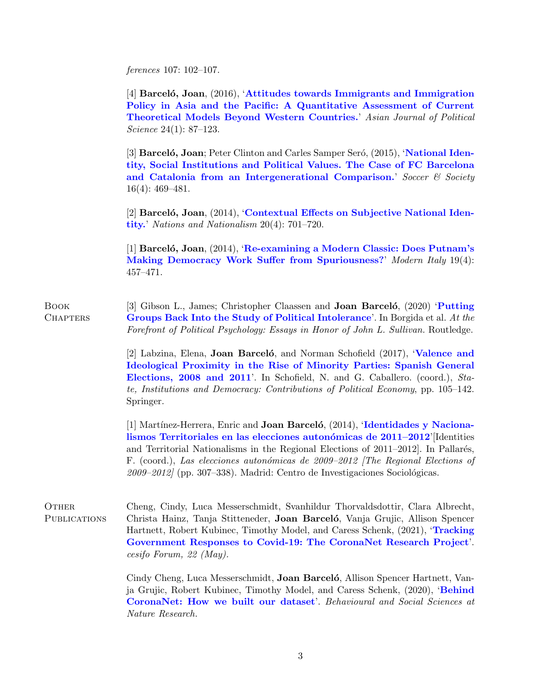ferences 107: 102–107.

 $[4]$  Barceló, Joan,  $(2016)$ , 'Attitudes towards Immigrants and [Immigration](http://www.tandfonline.com/doi/abs/10.1080/02185377.2015.1136228) Policy in Asia and the Pacific: A [Quantitative](http://www.tandfonline.com/doi/abs/10.1080/02185377.2015.1136228) Assessment of Current [Theoretical](http://www.tandfonline.com/doi/abs/10.1080/02185377.2015.1136228) Models Beyond Western Countries.' Asian Journal of Political Science 24(1): 87–123.

[3] Barceló, Joan; Peter Clinton and Carles Samper Seró, (2015), '[National](http://www.tandfonline.com/doi/abs/10.1080/14660970.2014.882826) Identity, Social [Institutions](http://www.tandfonline.com/doi/abs/10.1080/14660970.2014.882826) and Political Values. The Case of FC Barcelona and Catalonia from an [Intergenerational](http://www.tandfonline.com/doi/abs/10.1080/14660970.2014.882826) Comparison.' Soccer  $\mathcal C$  Society 16(4): 469–481.

 $[2]$  Barceló, Joan,  $(2014)$ , '[Contextual](http://onlinelibrary.wiley.com/doi/10.1111/nana.12080/abstract?userIsAuthenticated=false&deniedAccessCustomisedMessage=) Effects on Subjective National Iden[tity.](http://onlinelibrary.wiley.com/doi/10.1111/nana.12080/abstract?userIsAuthenticated=false&deniedAccessCustomisedMessage=)' Nations and Nationalism 20(4): 701–720.

[1] Barceló, Joan,  $(2014)$ , '[Re-examining](http://www.tandfonline.com/doi/abs/10.1080/13532944.2014.969215) a Modern Classic: Does Putnam's Making Democracy Work Suffer from [Spuriousness?](http://www.tandfonline.com/doi/abs/10.1080/13532944.2014.969215)' Modern Italy 19(4): 457–471.

Book **CHAPTERS** [3] Gibson L., James; Christopher Claassen and **Joan Barcelo**, (2020) **[Putting](https://books.google.es/books?id=mDDNDwAAQBAJ&pg=PT52&lpg=PT52)** Groups Back Into the Study of Political [Intolerance](https://books.google.es/books?id=mDDNDwAAQBAJ&pg=PT52&lpg=PT52)'. In Borgida et al. At the Forefront of Political Psychology: Essays in Honor of John L. Sullivan. Routledge.

> [2] Labzina, Elena, Joan Barceló, and Norman Schofield (2017), '[Valence](http://www.springer.com/us/book/9783319445816) and [Ideological](http://www.springer.com/us/book/9783319445816) Proximity in the Rise of Minority Parties: Spanish General [Elections,](http://www.springer.com/us/book/9783319445816) 2008 and 2011'. In Schofield, N. and G. Caballero. (coord.), State, Institutions and Democracy: Contributions of Political Economy, pp. 105–142. Springer.

> [1] Martínez-Herrera, Enric and **Joan Barceló**,  $(2014)$ , '[Identidades](https://goo.gl/TkDJZC) y Nacionalismos Territoriales en las elecciones autonómicas de 2011–2012'[Identities] and Territorial Nationalisms in the Regional Elections of  $2011-2012$ . In Pallarés, F. (coord.), Las elecciones auton´omicas de 2009–2012 [The Regional Elections of  $2009 - 2012$  (pp. 307–338). Madrid: Centro de Investigaciones Sociológicas.

OTHER. **PUBLICATIONS** Cheng, Cindy, Luca Messerschmidt, Svanhildur Thorvaldsdottir, Clara Albrecht, Christa Hainz, Tanja Stitteneder, Joan Barceló, Vanja Grujic, Allison Spencer Hartnett, Robert Kubinec, Timothy Model, and Caress Schenk, (2021), '[Tracking](https://www.cesifo.org/DocDL/CESifo-Forum-2021-3-20-May.pdf##page=49) [Government](https://www.cesifo.org/DocDL/CESifo-Forum-2021-3-20-May.pdf##page=49) Responses to Covid-19: The CoronaNet Research Project'. cesifo Forum, 22 (May).

> Cindy Cheng, Luca Messerschmidt, **Joan Barceló**, Allison Spencer Hartnett, Vanja Grujic, Robert Kubinec, Timothy Model, and Caress Schenk, (2020), '[Behind](https://socialsciences.nature.com/posts/behind-coronanet-how-we-built-our-dataset) [CoronaNet:](https://socialsciences.nature.com/posts/behind-coronanet-how-we-built-our-dataset) How we built our dataset'. Behavioural and Social Sciences at Nature Research.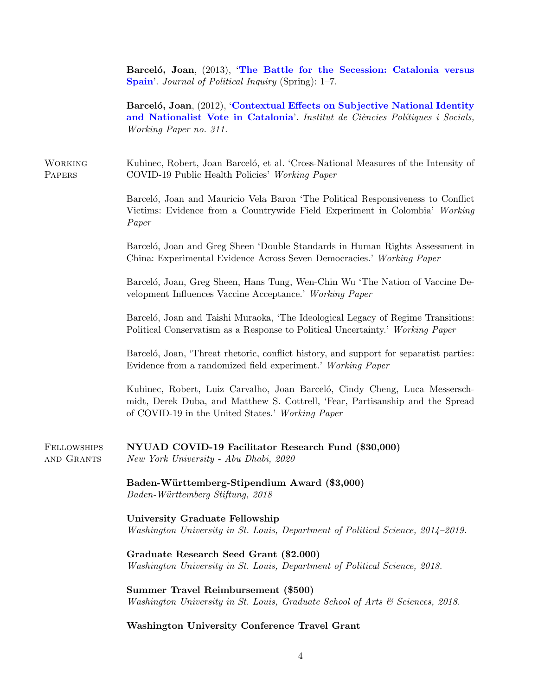Barceló, Joan, (2013), 'The Battle for the [Secession:](https://papers.ssrn.com/sol3/papers.cfm?abstract_id=2276571) Catalonia versus [Spain](https://papers.ssrn.com/sol3/papers.cfm?abstract_id=2276571)'. Journal of Political Inquiry (Spring): 1-7.

Barceló, Joan, (2012), '[Contextual](https://www.icps.cat/archivos/WorkingPapers/wp311.pdf) Effects on Subjective National Identity and [Nationalist](https://www.icps.cat/archivos/WorkingPapers/wp311.pdf) Vote in Catalonia'. Institut de Ciències Polítiques i Socials, Working Paper no. 311.

**WORKING PAPERS** Kubinec, Robert, Joan Barceló, et al. 'Cross-National Measures of the Intensity of COVID-19 Public Health Policies' Working Paper

> Barceló, Joan and Mauricio Vela Baron 'The Political Responsiveness to Conflict Victims: Evidence from a Countrywide Field Experiment in Colombia' Working Paper

> Barceló, Joan and Greg Sheen 'Double Standards in Human Rights Assessment in China: Experimental Evidence Across Seven Democracies.' Working Paper

> Barceló, Joan, Greg Sheen, Hans Tung, Wen-Chin Wu 'The Nation of Vaccine Development Influences Vaccine Acceptance.' Working Paper

> Barceló, Joan and Taishi Muraoka, 'The Ideological Legacy of Regime Transitions: Political Conservatism as a Response to Political Uncertainty.' Working Paper

> Barceló, Joan, 'Threat rhetoric, conflict history, and support for separatist parties: Evidence from a randomized field experiment.' Working Paper

> Kubinec, Robert, Luiz Carvalho, Joan Barceló, Cindy Cheng, Luca Messerschmidt, Derek Duba, and Matthew S. Cottrell, 'Fear, Partisanship and the Spread of COVID-19 in the United States.' Working Paper

Fellowships and Grants NYUAD COVID-19 Facilitator Research Fund (\$30,000) New York University - Abu Dhabi, 2020

> Baden-Württemberg-Stipendium Award (\$3,000) Baden-Württemberg Stiftung, 2018

University Graduate Fellowship Washington University in St. Louis, Department of Political Science, 2014–2019.

Graduate Research Seed Grant (\$2.000) Washington University in St. Louis, Department of Political Science, 2018.

Summer Travel Reimbursement (\$500) Washington University in St. Louis, Graduate School of Arts & Sciences, 2018.

# Washington University Conference Travel Grant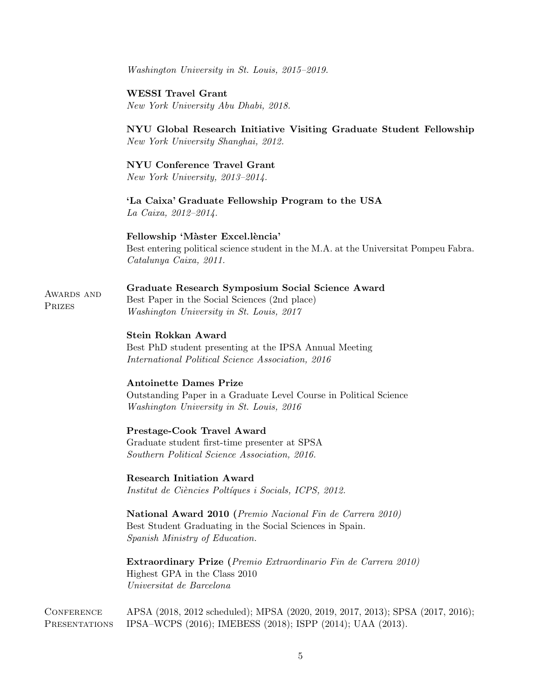Washington University in St. Louis, 2015–2019.

# WESSI Travel Grant

New York University Abu Dhabi, 2018.

# NYU Global Research Initiative Visiting Graduate Student Fellowship New York University Shanghai, 2012.

#### NYU Conference Travel Grant

New York University, 2013–2014.

# 'La Caixa' Graduate Fellowship Program to the USA La Caixa, 2012–2014.

# Fellowship 'Màster Excel.lència'

Best entering political science student in the M.A. at the Universitat Pompeu Fabra. Catalunya Caixa, 2011.

#### Graduate Research Symposium Social Science Award

AWARDS AND Best Paper in the Social Sciences (2nd place) Washington University in St. Louis, 2017

# Stein Rokkan Award

Prizes

Best PhD student presenting at the IPSA Annual Meeting International Political Science Association, 2016

## Antoinette Dames Prize

Outstanding Paper in a Graduate Level Course in Political Science Washington University in St. Louis, 2016

# Prestage-Cook Travel Award

Graduate student first-time presenter at SPSA Southern Political Science Association, 2016.

Research Initiation Award

Institut de Ciències Poltíques i Socials, ICPS, 2012.

National Award 2010 (Premio Nacional Fin de Carrera 2010) Best Student Graduating in the Social Sciences in Spain. Spanish Ministry of Education.

Extraordinary Prize (Premio Extraordinario Fin de Carrera 2010) Highest GPA in the Class 2010 Universitat de Barcelona

Conference APSA (2018, 2012 scheduled); MPSA (2020, 2019, 2017, 2013); SPSA (2017, 2016); Presentations IPSA–WCPS (2016); IMEBESS (2018); ISPP (2014); UAA (2013).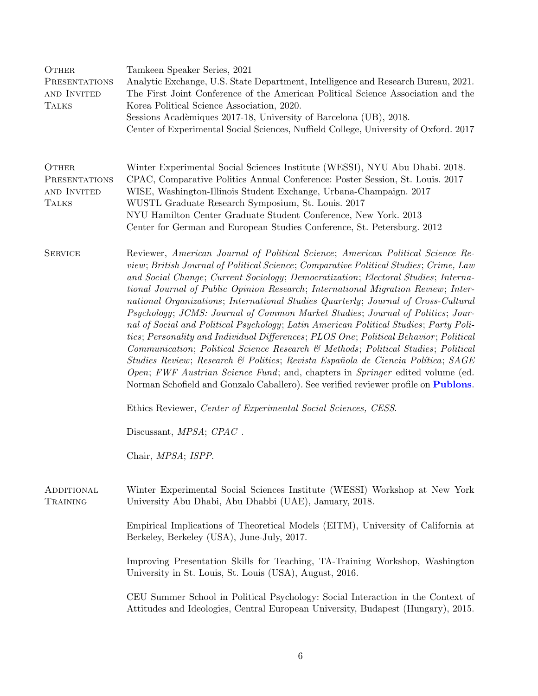| OTHER<br><b>PRESENTATIONS</b><br>AND INVITED<br><b>TALKS</b> | Tamkeen Speaker Series, 2021<br>Analytic Exchange, U.S. State Department, Intelligence and Research Bureau, 2021.<br>The First Joint Conference of the American Political Science Association and the<br>Korea Political Science Association, 2020.<br>Sessions Acadèmiques 2017-18, University of Barcelona (UB), 2018.<br>Center of Experimental Social Sciences, Nuffield College, University of Oxford. 2017                                                                                                                                                                                                                                                                                                                                                                                                                                                                                                                                                                                                                                             |  |
|--------------------------------------------------------------|--------------------------------------------------------------------------------------------------------------------------------------------------------------------------------------------------------------------------------------------------------------------------------------------------------------------------------------------------------------------------------------------------------------------------------------------------------------------------------------------------------------------------------------------------------------------------------------------------------------------------------------------------------------------------------------------------------------------------------------------------------------------------------------------------------------------------------------------------------------------------------------------------------------------------------------------------------------------------------------------------------------------------------------------------------------|--|
| OTHER<br>PRESENTATIONS<br>AND INVITED<br><b>TALKS</b>        | Winter Experimental Social Sciences Institute (WESSI), NYU Abu Dhabi. 2018.<br>CPAC, Comparative Politics Annual Conference: Poster Session, St. Louis. 2017<br>WISE, Washington-Illinois Student Exchange, Urbana-Champaign. 2017<br>WUSTL Graduate Research Symposium, St. Louis. 2017<br>NYU Hamilton Center Graduate Student Conference, New York. 2013<br>Center for German and European Studies Conference, St. Petersburg. 2012                                                                                                                                                                                                                                                                                                                                                                                                                                                                                                                                                                                                                       |  |
| <b>SERVICE</b>                                               | Reviewer, American Journal of Political Science; American Political Science Re-<br>view; British Journal of Political Science; Comparative Political Studies; Crime, Law<br>and Social Change; Current Sociology; Democratization; Electoral Studies; Interna-<br>tional Journal of Public Opinion Research; International Migration Review; Inter-<br>national Organizations; International Studies Quarterly; Journal of Cross-Cultural<br>Psychology; JCMS: Journal of Common Market Studies; Journal of Politics; Jour-<br>nal of Social and Political Psychology; Latin American Political Studies; Party Poli-<br>tics; Personality and Individual Differences; PLOS One; Political Behavior; Political<br>Communication; Political Science Research & Methods; Political Studies; Political<br>Studies Review; Research & Politics; Revista Española de Ciencia Política; SAGE<br>Open; FWF Austrian Science Fund; and, chapters in Springer edited volume (ed.<br>Norman Schofield and Gonzalo Caballero). See verified reviewer profile on Publons. |  |
|                                                              | Ethics Reviewer, Center of Experimental Social Sciences, CESS.                                                                                                                                                                                                                                                                                                                                                                                                                                                                                                                                                                                                                                                                                                                                                                                                                                                                                                                                                                                               |  |
|                                                              | Discussant, <i>MPSA</i> ; <i>CPAC</i> .                                                                                                                                                                                                                                                                                                                                                                                                                                                                                                                                                                                                                                                                                                                                                                                                                                                                                                                                                                                                                      |  |
|                                                              | Chair, MPSA; ISPP.                                                                                                                                                                                                                                                                                                                                                                                                                                                                                                                                                                                                                                                                                                                                                                                                                                                                                                                                                                                                                                           |  |
| ADDITIONAL<br>TRAINING                                       | Winter Experimental Social Sciences Institute (WESSI) Workshop at New York<br>University Abu Dhabi, Abu Dhabbi (UAE), January, 2018.                                                                                                                                                                                                                                                                                                                                                                                                                                                                                                                                                                                                                                                                                                                                                                                                                                                                                                                         |  |
|                                                              | Empirical Implications of Theoretical Models (EITM), University of California at<br>Berkeley, Berkeley (USA), June-July, 2017.                                                                                                                                                                                                                                                                                                                                                                                                                                                                                                                                                                                                                                                                                                                                                                                                                                                                                                                               |  |
|                                                              | Improving Presentation Skills for Teaching, TA-Training Workshop, Washington<br>University in St. Louis, St. Louis (USA), August, 2016.                                                                                                                                                                                                                                                                                                                                                                                                                                                                                                                                                                                                                                                                                                                                                                                                                                                                                                                      |  |
|                                                              | CEU Summer School in Political Psychology: Social Interaction in the Context of<br>Attitudes and Ideologies, Central European University, Budapest (Hungary), 2015.                                                                                                                                                                                                                                                                                                                                                                                                                                                                                                                                                                                                                                                                                                                                                                                                                                                                                          |  |